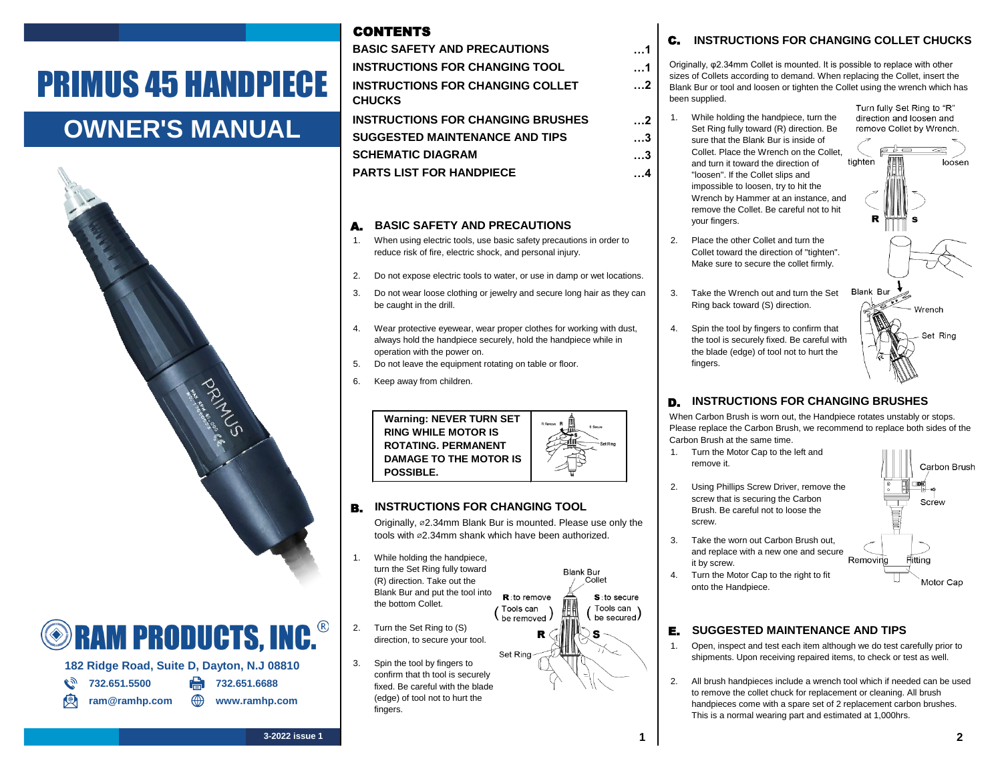# PRIMUS 45 HANDPIECE

### **OWNER'S MANUAL**



## **SHAM PRODUCTS, INC.**

**182 Ridge Road, Suite D, Dayton, N.J 08810**

- **1.2.2.651.5500 PM** 732.651.6688
	-
	- ram@ramhp.com **\times** www.ramhp.com
- 
- **INSTRUCTIONS FOR CHANGING BRUSHES SUGGESTED MAINTENANCE AND TIPS PARTS LIST FOR HANDPIECE SCHEMATIC DIAGRAM**

**INSTRUCTIONS FOR CHANGING COLLET** 

**BASIC SAFETY AND PRECAUTIONS**

**INSTRUCTIONS FOR CHANGING TOOL**

**CHUCKS**

CONTENTS

#### A. **BASIC SAFETY AND PRECAUTIONS**

- 1. When using electric tools, use basic safety precautions in order to  $\blacksquare$  2. reduce risk of fire, electric shock, and personal injury.
- 2. Do not expose electric tools to water, or use in damp or wet locations.
- 3. Do not wear loose clothing or jewelry and secure long hair as they can | 3. be caught in the drill.
- 4. Wear protective eyewear, wear proper clothes for working with dust, 4. always hold the handpiece securely, hold the handpiece while in operation with the power on.
- 5. Do not leave the equipment rotating on table or floor.
- 6. Keep away from children.



#### B. **INSTRUCTIONS FOR CHANGING TOOL**

Originally, ⌀2.34mm Blank Bur is mounted. Please use only the tools with ø2.34mm shank which have been authorized.

 $\mathsf{R}$ : to remove

Tools can

be removed

**Blank Bur** Collet

> $s$ : to secure Tools can \

> be secured

- 1. While holding the handpiece, turn the Set Ring fully toward (R) direction. Take out the Blank Bur and put the tool into the bottom Collet.
- 2. Turn the Set Ring to (S)  $\mathbf{R} \in \mathbb{R}$   $\mathbb{R} \in \mathbb{R}$ direction, to secure your tool.
- Set Ring 3. Spin the tool by fingers to confirm that th tool is securely fixed. Be careful with the blade (edge) of tool not to hurt the fingers.

#### C. **INSTRUCTIONS FOR CHANGING COLLET CHUCKS**

Originally, φ2.34mm Collet is mounted. It is possible to replace with other sizes of Collets according to demand. When replacing the Collet, insert the Blank Bur or tool and loosen or tighten the Collet using the wrench which has been supplied. Turn fully Set Ring to "R"

 $\dots$ **2** 1. While holding the handpiece, turn the Set Ring fully toward (R) direction. Be sure that the Blank Bur is inside of Collet. Place the Wrench on the Collet, tighten and turn it toward the direction of "loosen". If the Collet slips and impossible to loosen, try to hit the Wrench by Hammer at an instance, and remove the Collet. Be careful not to hit your fingers.

**…1 …1 …2**

**…3 …3 …4**

- 2. Place the other Collet and turn the Collet toward the direction of "tighten". Make sure to secure the collet firmly.
- **Blank Bur** Take the Wrench out and turn the Set Ring back toward (S) direction.
- Spin the tool by fingers to confirm that the tool is securely fixed. Be careful with the blade (edge) of tool not to hurt the fingers.

### D. **INSTRUCTIONS FOR CHANGING BRUSHES**

When Carbon Brush is worn out, the Handpiece rotates unstably or stops. Please replace the Carbon Brush, we recommend to replace both sides of the Carbon Brush at the same time.

- 1. Turn the Motor Cap to the left and remove it.
- 2. Using Phillips Screw Driver, remove the screw that is securing the Carbon Brush. Be careful not to loose the screw.
- 3. Take the worn out Carbon Brush out, and replace with a new one and secure Removing it by screw.
- 4. Turn the Motor Cap to the right to fit onto the Handpiece.



#### **E.** SUGGESTED MAINTENANCE AND TIPS

- 1. Open, inspect and test each item although we do test carefully prior to shipments. Upon receiving repaired items, to check or test as well.
- 2. All brush handpieces include a wrench tool which if needed can be used to remove the collet chuck for replacement or cleaning. All brush handpieces come with a spare set of 2 replacement carbon brushes. This is a normal wearing part and estimated at 1,000hrs.

Fitting

106 Screw

direction and loosen and remove Collet by Wrench. sta

loosen

Wrench

Set Ring

Carbon Brush